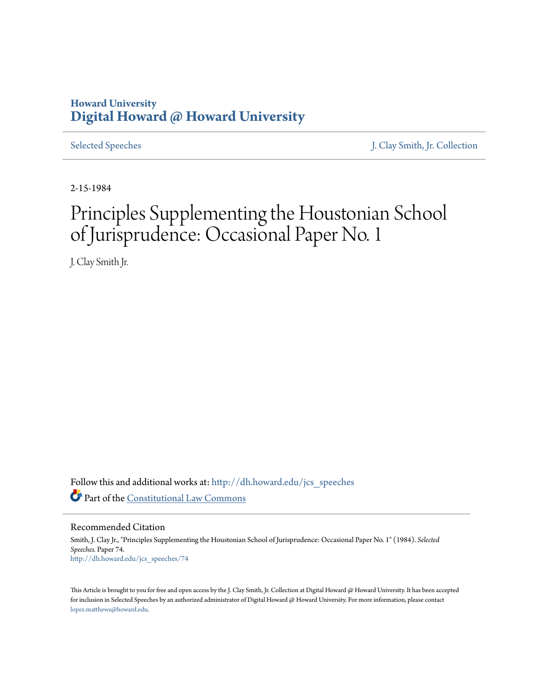# **Howard University [Digital Howard @ Howard University](http://dh.howard.edu?utm_source=dh.howard.edu%2Fjcs_speeches%2F74&utm_medium=PDF&utm_campaign=PDFCoverPages)**

[Selected Speeches](http://dh.howard.edu/jcs_speeches?utm_source=dh.howard.edu%2Fjcs_speeches%2F74&utm_medium=PDF&utm_campaign=PDFCoverPages) [J. Clay Smith, Jr. Collection](http://dh.howard.edu/jcsmith?utm_source=dh.howard.edu%2Fjcs_speeches%2F74&utm_medium=PDF&utm_campaign=PDFCoverPages)

2-15-1984

# Principles Supplementing the Houstonian School of Jurisprudence: Occasional Paper No. 1

J. Clay Smith Jr.

Follow this and additional works at: [http://dh.howard.edu/jcs\\_speeches](http://dh.howard.edu/jcs_speeches?utm_source=dh.howard.edu%2Fjcs_speeches%2F74&utm_medium=PDF&utm_campaign=PDFCoverPages) Part of the [Constitutional Law Commons](http://network.bepress.com/hgg/discipline/589?utm_source=dh.howard.edu%2Fjcs_speeches%2F74&utm_medium=PDF&utm_campaign=PDFCoverPages)

Recommended Citation

Smith, J. Clay Jr., "Principles Supplementing the Houstonian School of Jurisprudence: Occasional Paper No. 1" (1984). *Selected Speeches.* Paper 74. [http://dh.howard.edu/jcs\\_speeches/74](http://dh.howard.edu/jcs_speeches/74?utm_source=dh.howard.edu%2Fjcs_speeches%2F74&utm_medium=PDF&utm_campaign=PDFCoverPages)

This Article is brought to you for free and open access by the J. Clay Smith, Jr. Collection at Digital Howard @ Howard University. It has been accepted for inclusion in Selected Speeches by an authorized administrator of Digital Howard @ Howard University. For more information, please contact [lopez.matthews@howard.edu.](mailto:lopez.matthews@howard.edu)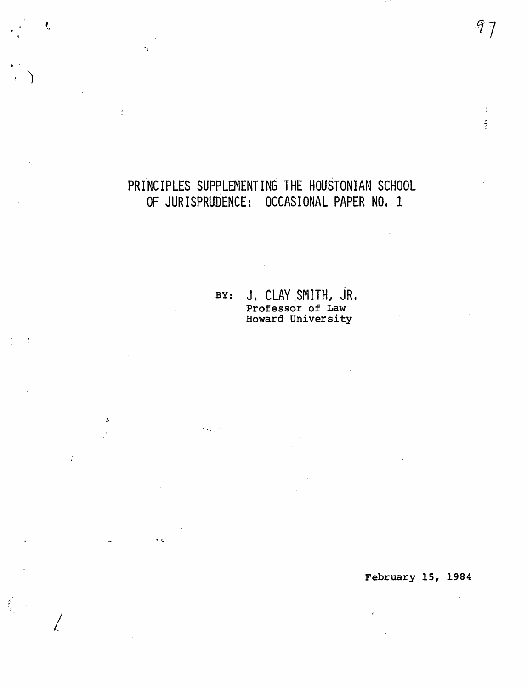# PRINCIPLES SUPPLEMENTING THE HOUSTONIAN SCHOOL OF JURISPRUDENCE: OCCASIONAL PAPER NO. 1

 $\pmb{\theta}_1$ 

 $\sigma_T$ 

 $\frac{1}{2}$ 

 $\sim$ 

 $\frac{1}{\sqrt{2}}$ 

 $\ddot{\phantom{a}}$ 

 $\sqrt{2}$ 

 $\lambda$  and

 $\sim 10^4$ 

BY: J. CLAY SMITH, JR. Professor of Law<br>Howard University

# February 15, 1984

 $\mathcal{A}_\bullet$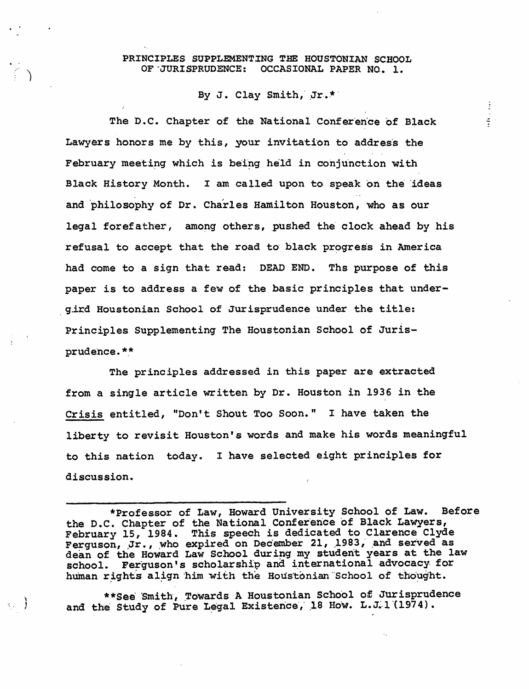### PRINCIPLES SUPPLEMENTING THE HOUSTONIAN SCHOOL OF JURISPRUDENCE: OCCASIONAL PAPER NO. 1.

# By J. Clay Smith, Jr.\*

 $\frac{1}{2}$ 

 $\frac{2}{3}$ 

The D.C. Chapter of the National Conference of Black Lawyers honors me by this, your invitation to address the February meeting which is being held in conjunction with Black History Month. I am called upon to speak on the ideas and philosophy of Dr. Charles Hamilton Houston, who as our legal forefather, among others, pushed the clock ahead by his refusal to accept that the road to black progress in America had come to a sign that read: DEAD END. Ths purpose of this paper is to address a few of the basic principles that undergird Houstonian School of Jurisprudence under the title: Principles Supplementing The Houstonian School of Jurisprudence.\*\*

The principles addressed in this paper are extracted from a single article written by Dr. Houston in 1936 in the Crisis entitled, "Don't Shout Too Soon." I have taken the liberty to revisit Houston's words and make his words meaningful to this nation today. I have selected eight principles for discussion.

\*\*See Smith, Towards A Houstonian School of Jurisprudence and the Study of Pure Legal Existence, 18 How. L.J. 1 (1974).

<sup>\*</sup>Professor of Law, Howard University School of Law. Before the D.C. Chapter of the National Conference of Black Lawyers,<br>February 15, 1984. This speech is dedicated to Clarence Clyde<br>Ferguson, Jr., who expired on December 21, 1983, and served as dean of the Howard Law School during my student years at the law school. Ferguson's scholarship and international advocacy for human rights align him with the Houstonian School of thought.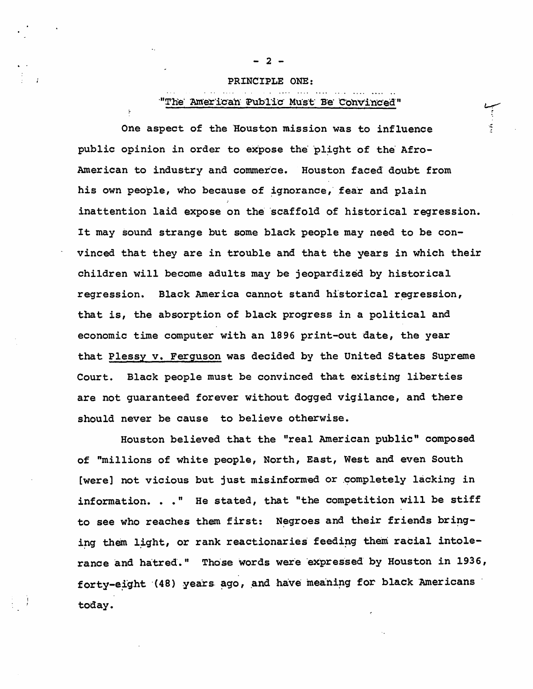#### PRINCIPLE ONE:

### "The American Public Must Be Convinced"

One aspect of the Houston mission was to influence public opinion in order to expose the plight of the Afro-American to industry and commerce. Houston faced doubt from his own people, who because of ignorance, fear and plain inattention laid expose on the scaffold of historical regression. It may sound strange but some black people may need to be convinced that they are in trouble and that the years in which their children will become adults may be jeopardized by historical regression. Black America cannot stand historical regression, that *is,* the absorption of black progress in a political and economic time computer with an 1896 print-out date, the year that Plessy v. Ferguson was decided by the united States Supreme Court. Black people must be convinced that existing liberties are not guaranteed forever without dogged vigilance, and there should never be cause to believe otherwise.

Houston believed that the "real American public" composed of "millions of white people, North, East, West and even South [were] not vicious but just misinformed or completely lacking in information. . . " He stated, that "the competition will be stiff to see who reaches them first: Negroes and their friends bringing them light, or rank reactionaries feeding them racial intolerance and hatred." Those words were expressed by Houston in 1936, forty-eight (48) years ago, and have meaning for black Americans today.

 $2 -$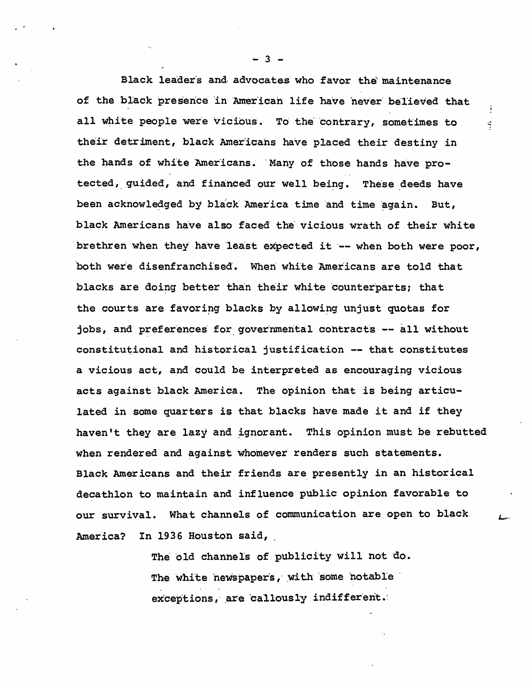Black leaders and advocates who favor the maintenance of the black presence in American life have never believed that ÷ all white people were vicious. To the contrary, sometimes to Š, their detriment, black Americans have placed their destiny in the hands of white Americans. Many of those hands have protected, guided, and financed our well being. These deeds have been acknowledged by black America time and time again. But, black Americans have also faced the vicious wrath of their white brethren when they have least expected it -- when both were poor, both were disenfranchised. When white Americans are told that blacks are doing better than their white counterparts; that the courts are favoring blacks by allowing unjust quotas for jobs, and preferences for governmental contracts -- all without constitutional and historical justification -- that constitutes a vicious act, and could be interpreted as encouraging vicious acts against black America. The opinion that is being articulated in some quarters is that blacks have made it and if they haven't they are lazy and ignorant. This opinion must be rebutted when rendered and against whomever renders such statements. Black Americans and their friends are presently in an historical decathlon to maintain and influence public opinion favorable to our survival. What channels of communication are open to black America? In 1936 Houston said,

> The old channels of publicity will not do. The white newspapers, with some notable exceptions, are callously indifferent.

 $-3 -$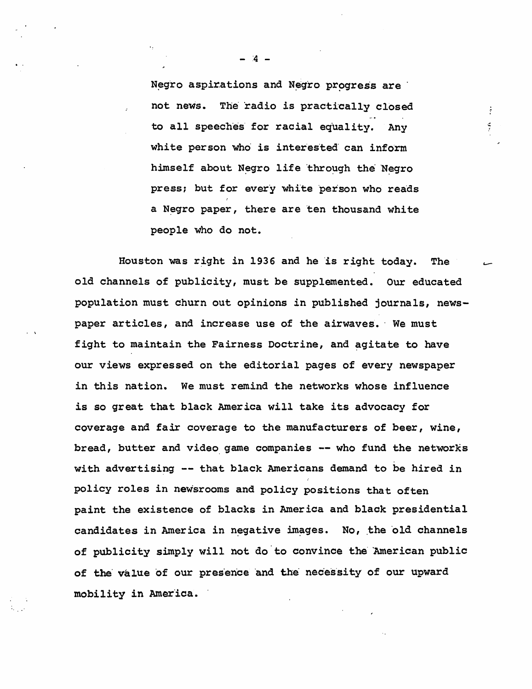Negro aspirations and Negro progress are not news. The radio is practically closed to all speeches for racial equality. Any white person who is interested can inform himself about Negro life through the Negro press; but for every white person who reads a Negro paper, there are ten thousand white people who do not.

,;:

÷.

Houston was right in 1936 and he is right today. The old channels of publicity, must be supplemented. Our educated population must churn out opinions in published journals, newspaper articles, and increase use of the airwaves. We must fight to maintain the Fairness Doctrine, and agitate to have our views expressed on the editorial pages of every newspaper in this nation. We must remind the networks whose influence is so great that black America will take its advocacy for coverage and fair coverage to the manufacturers of beer, wine, bread, butter and video game companies -- who fund the networks with advertising -- that black Americans demand to be hired in policy roles in newsrooms and policy positions that often paint the existence of blacks in America and black presidential candidates in America in negative images. No, the old channels of publicity simply will not do'to convince the' American public of the value of our presence and the necessity of our upward mobility in America.

**A** –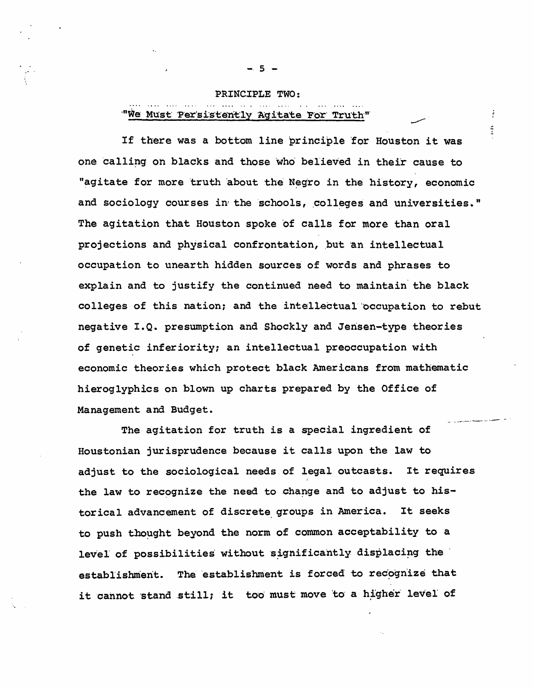# PRINCIPLE TWO: "We Must Persistently Agitate For Truth"

If there was a bottom line principle for Houston it was one calling on blacks and those who believed in their cause to "agitate for more truth about the Negro in the history, economic and sociology courses in the schools, colleges and universities." The agitation that Houston spoke of calls for more than oral projections and physical confrontation, but an intellectual occupation to unearth hidden sources of words and phrases to explain and to justify the continued need to maintain' the black colleges of this nation; and the intellectual occupation to rebut negative I.Q. presumption and Shockly and Jensen-type theories of genetic inferiority; an intellectual preoccupation with economic theories which protect black Americans from mathematic hieroglyphics on blown up charts prepared by the Office of Management and Budget.

The agitation for truth is a special ingredient of Houstonian jurisprudence because it calls upon the law to adjust to the sociological needs of legal outcasts. It requires the law to recognize the need to change and to adjust to historical advancement of discrete, groups in America. It seeks to push thought beyond the norm of common acceptability to a level of possibilities without significantly displacing the establishment. The establishment is forced to recognize that it cannot stand still; it too must move to a higher level of

 $-5 -$ 

 $\frac{1}{2}$ Í.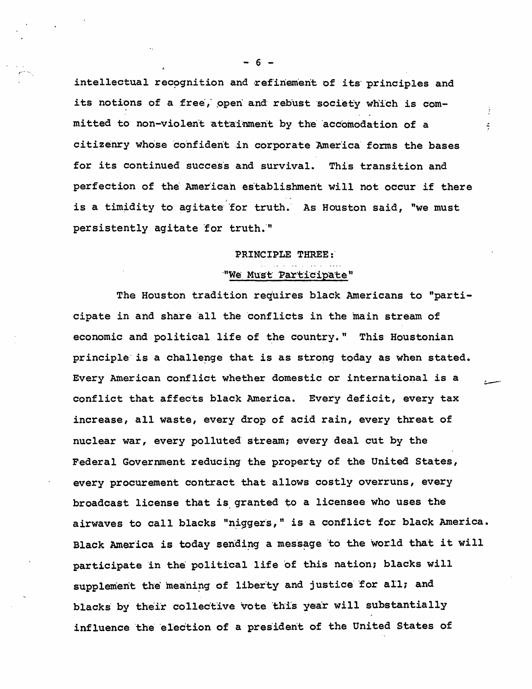intellectual recognition and refinement of its principles and its notions of a free, open and rebust society which is committed to non-violent attainment by the accomodation of a citizenry whose confident in corporate America forms the bases for its continued success and survival. This transition and perfection of the American establishment will not occur if there is a timidity to agitate for truth. As Houston said, "we must persistently agitate for truth."

÷.

#### PRINCIPLE THREE:

### "We Must Participate"

The Houston tradition requires black Americans to "participate in and share all the conflicts in the main stream of economic and political life of the country." This Houstonian principle is a challenge that is as strong today as when stated. Every American conflict whether domestic or international is a conflict that affects black America. Every deficit, every tax increase, all waste, every drop of acid rain, every threat of nuclear war, every polluted stream; every deal cut by the Federal Government reducing the property of the United States, every procurement contract that allows costly overruns, every broadcast license that is granted to a licensee who uses the airwaves to call blacks "niggers," is a conflict for black America. Black America is today sending a message to the world that it will participate in the political life of this nation; blacks will supplement the meaning of liberty and justice for all; and blacks by their collective vote this year will substantially influence the election of a president of the United States of

 $-6 -$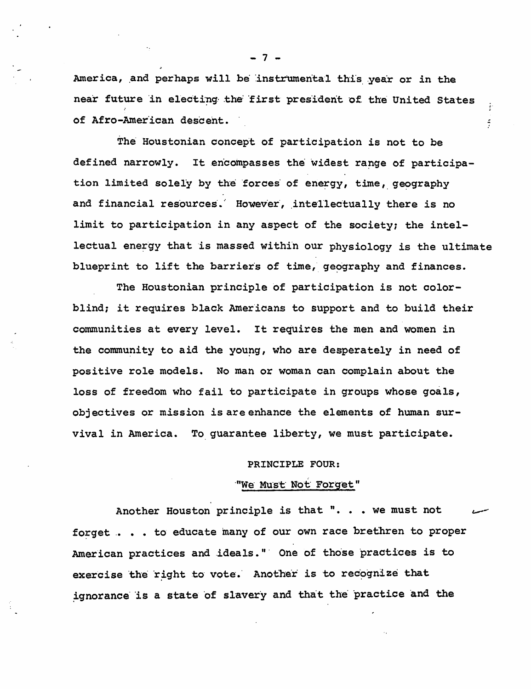America, and perhaps will be instrumental this year or in the near future in electing the first president of the United States of Afro-American descent.

 $\ddot{\cdot}$ 

 $\frac{2}{3}$ 

The Houstonian concept of participation is not to be defined narrowly. It encompasses the widest range of participation limited solely by the forces of energy, time, geography and financial resources. However, intellectually there is no limit to participation in any aspect of the society; the intellectual energy that is massed within our physiology is the ultimate blueprint to lift the barriers of time, geography and finances.

The Houstonian principle of participation is not colorblind; it requires black Americans to support and to build their communities at every level. It requires the men and women in the community to aid the young, who are desperately in need of positive role models. No man or woman can complain about the loss of freedom who fail to participate in groups whose goals, objectives or mission is are enhance the elements of human survival in America. To guarantee liberty, we must participate.

### PRINCIPLE FOUR:

## "We Must Not Forget"

Another Houston principle is that ". . . we must not forget . . . to educate many of our own race brethren to proper American practices and ideals." One of those practices is to exercise the right to vote. Another is to recognize that ignorance is a state of slavery and that the practice and the

- 7 -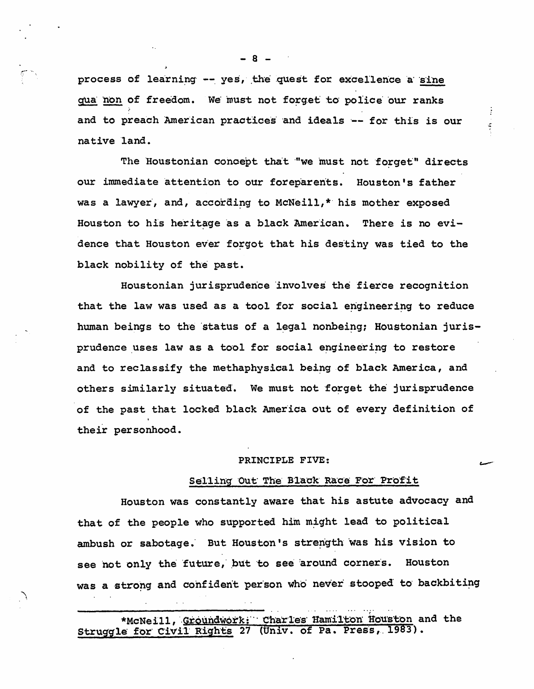process of learning -- yes, the quest for excellence a sine qua non of freedom. We must not forget to police our ranks and to preach American practices and ideals -- for this is our native land.

The Houstonian concept that "we must not forget" directs our immediate attention to our foreparents. Houston's father was a lawyer, and, according to McNeill,\* his mother exposed Houston to his heritage as a black American. There is no evidence that Houston ever forgot that his destiny was tied to the black nobility of the past.

Houstonian jurisprudence involves the fierce recognition that the law was used as a tool for social engineering to reduce human beings to the status of a legal nonbeing; Houstonian jurisprudence uses law as a tool for social engineering to restore and to reclassify the methaphysical being of black America, and others similarly situated. We must not forget the jurisprudence of the past that locked black America out of every definition of their personhood.

#### PRINCIPLE FIVE:

### Selling Out The Black Race For Profit

Houston was constantly aware that his astute advocacy and that of the people who supported him might lead to political ambush or sabotage. But Houston's strength was his vision to see not only the future, but to see around corners. Houston was a strong and confident person who never stooped to backbiting

\*McNeill, Groundwork: Charles Hamilton Houston and the Struggle for Civil Rights 27 (Univ. of Pa. Press, 1983).

 $-8$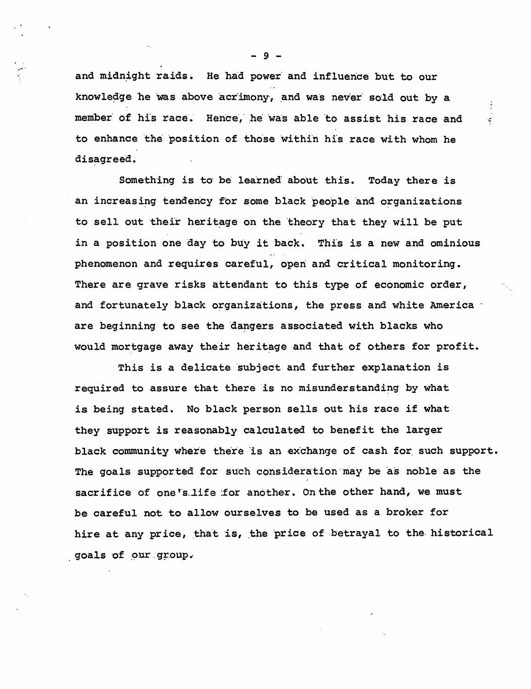and midnight raids. He had power and influence but to our knowledge he was above acrimony, and was never sold out by a member of his race. Hence, he was able to assist his race and to enhance the position of those within his race with whom he disagreed.

 $\mathbb{R}^2$ 

Something is to be learned about this. Today there is an increasing tendency for some black people and organizations to sell out their heritage on the theory that they will be put in a position one day to buy it back. This is a new and ominious phenomenon and requires careful, open and critical monitoring. There are grave risks attendant to this type of economic order, and fortunately black organizations, the press and white America are beginning to see the dangers associated with blacks who would mortgage away their heritage and that of others for profit.

This is a delicate subject and further explanation is required to assure that there is no misunderstanding by what is being stated. No black person sells out his race if what they support is reasonably calculated to benefit the larger black community where there is an exchange of cash for such support. The goals supported for such consideration may be as noble as the sacrifice of one's life for another. On the other hand, we must be careful not to allow ourselves to be used as a broker for hire at any price, that is, the price of betrayal to the historical goals of our group.

-9-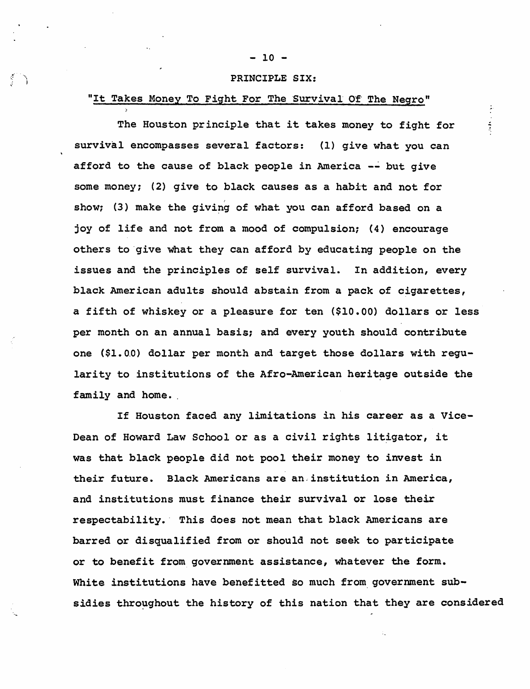# $-10 -$

### PRINCIPLE SIX:

# "It Takes Money To Fight For The Survival Of The Negro"

 $\mathbb{S} \setminus \mathbb{N}$ 

The Houston principle that it takes money to fight for survival encompasses several factors: (1) give what you can afford to the cause of black people in America -~ but give some money; (2) give to black causes as a habit and not for show; (3) make the giving of what you can afford based on a joy of life and not from a mood of compulsion; (4) encourage others to 'give what they can afford by educating people on the issues and the principles of self survival. In addition, every black American adults should abstain from a pack of cigarettes, a fifth of whiskey or a pleasure for ten (\$10.00) dollars or less per month on an annual basis; and every youth should contribute one (\$1. 0.0) dollar per month and target those dollars with regularity to institutions of the Afro-American heritage outside the family and home.

If Houston faced any limitations in his career as a Vice-Dean of Howard Law School or as a civil rights litigator, it was that black people did not pool their money to invest in their future. Black Americans are an. institution in America, and institutions must finance their survival or lose their respectability.' This does not mean that black Americans are barred or disqualified from or should not seek to participate or to benefit from government assistance, whatever the form. White institutions have benefitted so much from government subsidies throughout the history of this nation that they are considered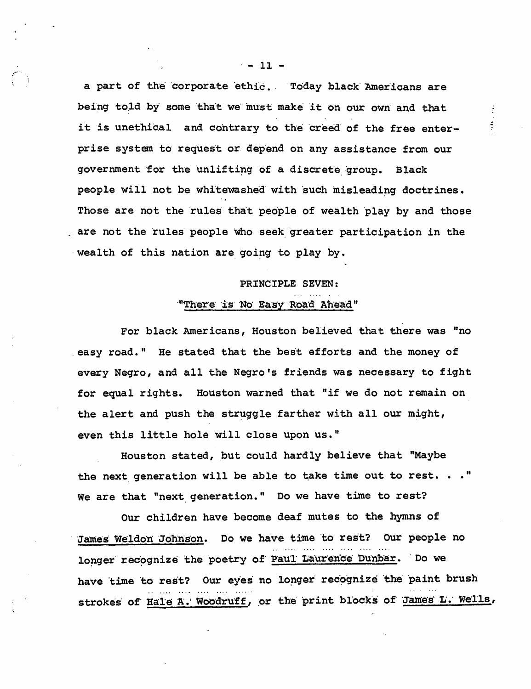a part of the corporate ethic. Today black Americans are being told by some that we must make it on our own and that it is unethical and contrary to the creed of the free enterprise system to request or depend on any assistance from our government for the unlifting of a discrete group. **Black** people will not be whitewashed with such misleading doctrines. Those are not the rules that people of wealth play by and those are not the rules people who seek greater participation in the wealth of this nation are going to play by.

 $\frac{2}{3}$ 

# PRINCIPLE SEVEN: "There is No Easy Road Ahead"

For black Americans, Houston believed that there was "no easy road." He stated that the best efforts and the money of every Negro, and all the Negro's friends was necessary to fight for equal rights. Houston warned that "if we do not remain on the alert and push the struggle farther with all our might, even this little hole will close upon us."

Houston stated, but could hardly believe that "Maybe the next generation will be able to take time out to rest. . . " We are that "next generation." Do we have time to rest?

Our children have become deaf mutes to the hymns of James Weldon Johnson. Do we have time to rest? Our people no longer recognize the poetry of Paul Laurence Dunbar. Do we have time to rest? Our eyes no longer recognize the paint brush strokes of Hale A. Woodruff, or the print blocks of James L. Wells,

 $-11 -$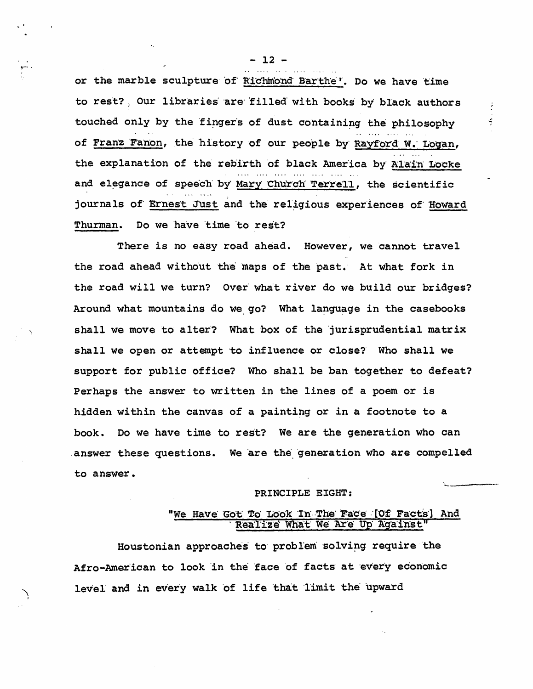or the marble sculpture of Richmond Barthe'. Do we have time to rest? Our libraries are filled with books by black authors touched only by the fingers of dust containing the philosophy of Franz Fanon, the history of our people by Rayford W. Logan, the explanation of the rebirth of black America by Alain Locke and elegance of speech by Mary Church Terrell, the scientific journals of Ernest Just and the religious experiences of Howard Do we have time to rest? Thurman.

There is no easy road ahead. However, we cannot travel the road ahead without the maps of the past. At what fork in the road will we turn? Over what river do we build our bridges? Around what mountains do we go? What language in the casebooks shall we move to alter? What box of the jurisprudential matrix shall we open or attempt to influence or close? Who shall we support for public office? Who shall be ban together to defeat? Perhaps the answer to written in the lines of a poem or is hidden within the canvas of a painting or in a footnote to a book. Do we have time to rest? We are the generation who can answer these questions. We are the generation who are compelled to answer.

#### PRINCIPLE EIGHT:

## "We Have Got To Look In The Face [Of Facts] And Realize What We Are Up Against"

Houstonian approaches to problem solving require the Afro-American to look in the face of facts at every economic level and in every walk of life that limit the upward

 $-12 -$ 

÷.

÷.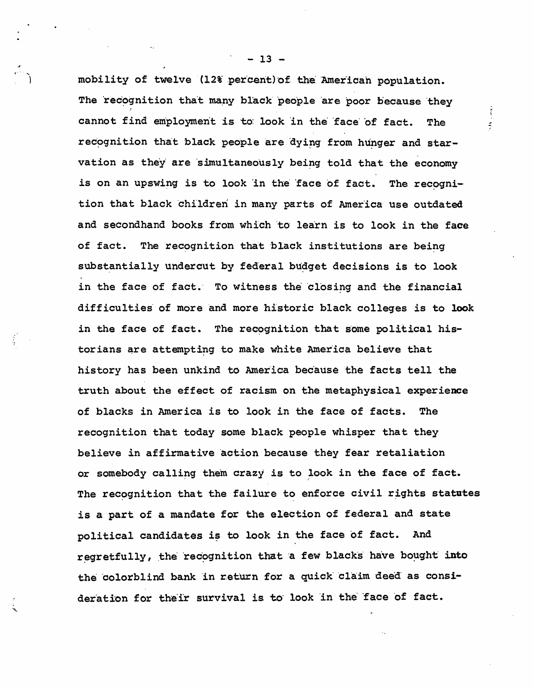mobility of twelve (12% percent) of the American population. The recognition that many black people are poor because they cannot find employment is to look in the face of fact. The recognition that black people are dying from hunger and starvation as they are simultaneously being told that the economy is on an upswing is to look in the face of fact. The recognition that black children in many parts of America use outdated and secondhand books from which to learn is to look in the face of fact. The recognition that black institutions are being substantially undercut by federal budget decisions is to look in the face of fact. To witness the closing and the financial difficulties' of more and more historic black colleges is to look in the face of fact. The recognition that some political historians are attempting to make white America believe that history has been unkind to America because the facts tell the truth about the effect of racism on the metaphysical experience of blacks in America is to look in the face of facts. The recognition that today some black people whisper that they believe in affirmative action because they fear retaliation or somebody calling them crazy is to look in the face of fact. The recognition that the failure to enforce civil rights statutes is a part of a mandate for the election of federal and state political candidates is to look in the face of fact. And regretfully, the recognition that a few blacks have bought into the colorblind bank in return for a quick claim deed as consideration for their survival is to look in the face of fact.

 $- 13 -$ 

 $\frac{1}{2}$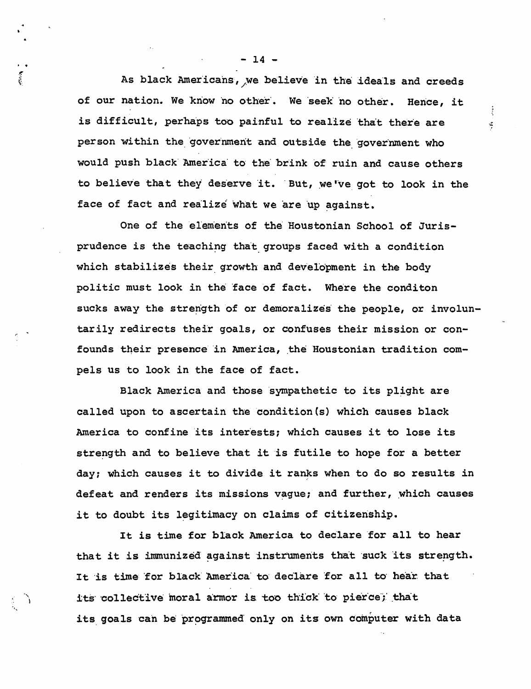As black Americans, we believe in the ideals and creeds of our nation. We know no other. We seek no other. Hence, it is difficult, perhaps too painful to realize that there are person within the government and outside the government who would push black America to the brink of ruin and cause others to believe that they deserve it. But, we've got to look in the face of fact and realize what we are up against.

š,

One of the elements of the Houstonian School of Jurisprudence is the teaching that groups faced with a condition which stabilizes their growth and development in the body politic must look in the face of fact. Where the conditon sucks away the strength of or demoralizes the people, or involuntarily redirects their goals, or confuses their mission or confounds their presence in America, the Houstonian tradition compels us to look in the face of fact.

Black America and those sympathetic to its plight are called upon to ascertain the condition(s) which causes black America to confine its interests; which causes it to lose its strength and to believe that it is futile to hope for a better day; which causes it to divide it ranks when to do so results in defeat and renders its missions vague; and further, which causes it to doubt its legitimacy on claims of citizenship.

It is time for black America to declare for all to hear that it is immunized against instruments that suck its strength. It is time for black America to declare for all to hear that its collective moral armor is too thick to pierce; that its goals can be programmed only on its own computer with data

 $-14 -$